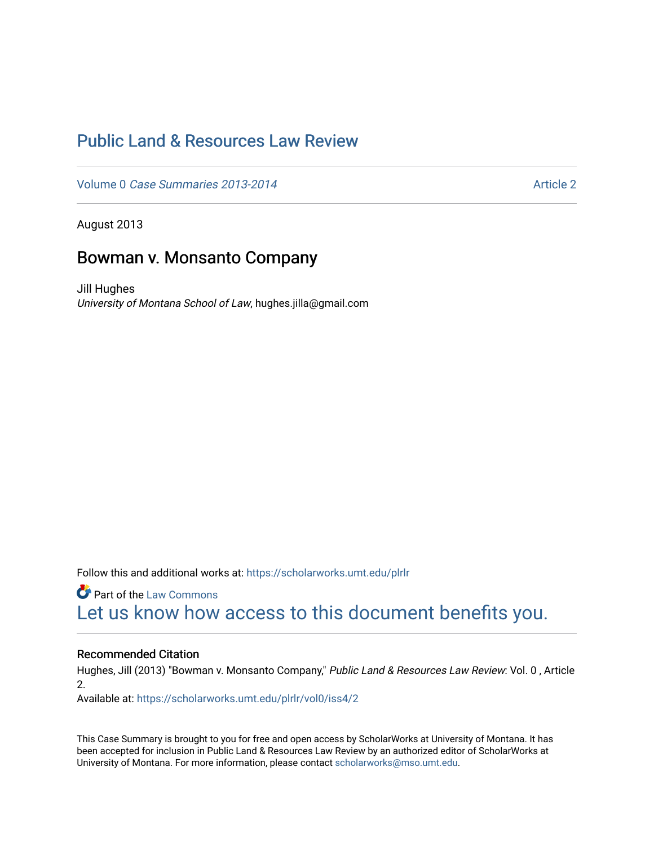# [Public Land & Resources Law Review](https://scholarworks.umt.edu/plrlr)

Volume 0 [Case Summaries 2013-2014](https://scholarworks.umt.edu/plrlr/vol0) Article 2

August 2013

## Bowman v. Monsanto Company

Jill Hughes University of Montana School of Law, hughes.jilla@gmail.com

Follow this and additional works at: [https://scholarworks.umt.edu/plrlr](https://scholarworks.umt.edu/plrlr?utm_source=scholarworks.umt.edu%2Fplrlr%2Fvol0%2Fiss4%2F2&utm_medium=PDF&utm_campaign=PDFCoverPages) 

**Part of the [Law Commons](http://network.bepress.com/hgg/discipline/578?utm_source=scholarworks.umt.edu%2Fplrlr%2Fvol0%2Fiss4%2F2&utm_medium=PDF&utm_campaign=PDFCoverPages)** [Let us know how access to this document benefits you.](https://goo.gl/forms/s2rGfXOLzz71qgsB2) 

### Recommended Citation

Hughes, Jill (2013) "Bowman v. Monsanto Company," Public Land & Resources Law Review: Vol. 0 , Article 2.

Available at: [https://scholarworks.umt.edu/plrlr/vol0/iss4/2](https://scholarworks.umt.edu/plrlr/vol0/iss4/2?utm_source=scholarworks.umt.edu%2Fplrlr%2Fvol0%2Fiss4%2F2&utm_medium=PDF&utm_campaign=PDFCoverPages) 

This Case Summary is brought to you for free and open access by ScholarWorks at University of Montana. It has been accepted for inclusion in Public Land & Resources Law Review by an authorized editor of ScholarWorks at University of Montana. For more information, please contact [scholarworks@mso.umt.edu.](mailto:scholarworks@mso.umt.edu)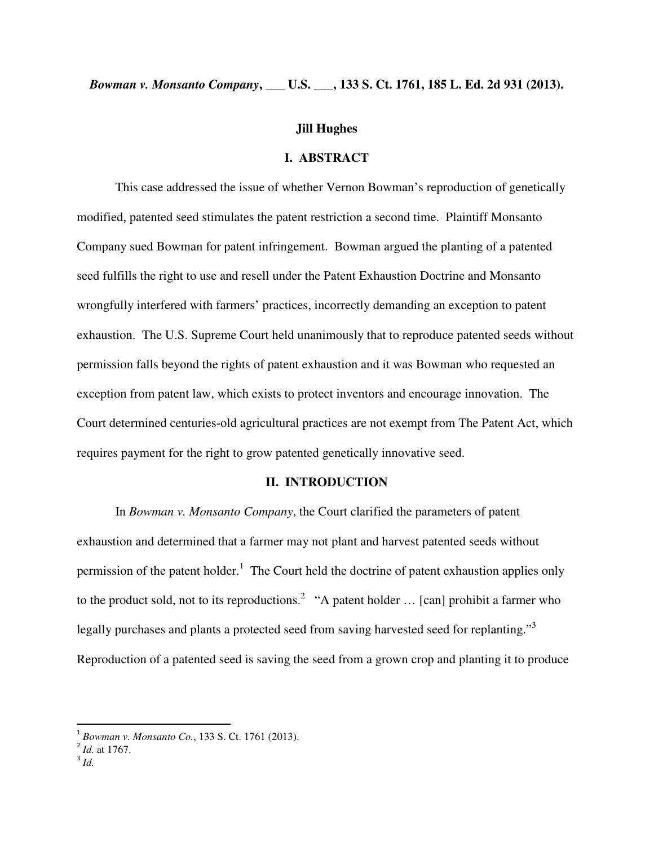## *Bowman v. Monsanto Company***, \_\_\_ U.S. \_\_\_, 133 S. Ct. 1761, 185 L. Ed. 2d 931 (2013).**

#### **Jill Hughes**

## **I. ABSTRACT**

 This case addressed the issue of whether Vernon Bowman's reproduction of genetically modified, patented seed stimulates the patent restriction a second time. Plaintiff Monsanto Company sued Bowman for patent infringement. Bowman argued the planting of a patented seed fulfills the right to use and resell under the Patent Exhaustion Doctrine and Monsanto wrongfully interfered with farmers' practices, incorrectly demanding an exception to patent exhaustion. The U.S. Supreme Court held unanimously that to reproduce patented seeds without permission falls beyond the rights of patent exhaustion and it was Bowman who requested an exception from patent law, which exists to protect inventors and encourage innovation. The Court determined centuries-old agricultural practices are not exempt from The Patent Act, which requires payment for the right to grow patented genetically innovative seed.

### **II. INTRODUCTION**

 In *Bowman v. Monsanto Company*, the Court clarified the parameters of patent exhaustion and determined that a farmer may not plant and harvest patented seeds without permission of the patent holder.<sup>1</sup> The Court held the doctrine of patent exhaustion applies only to the product sold, not to its reproductions.<sup>2</sup> "A patent holder ... [can] prohibit a farmer who legally purchases and plants a protected seed from saving harvested seed for replanting."<sup>3</sup> Reproduction of a patented seed is saving the seed from a grown crop and planting it to produce

l

<sup>1</sup> *Bowman v. Monsanto Co.*, 133 S. Ct. 1761 (2013). 2 *Id.* at 1767.

<sup>3</sup> *Id.*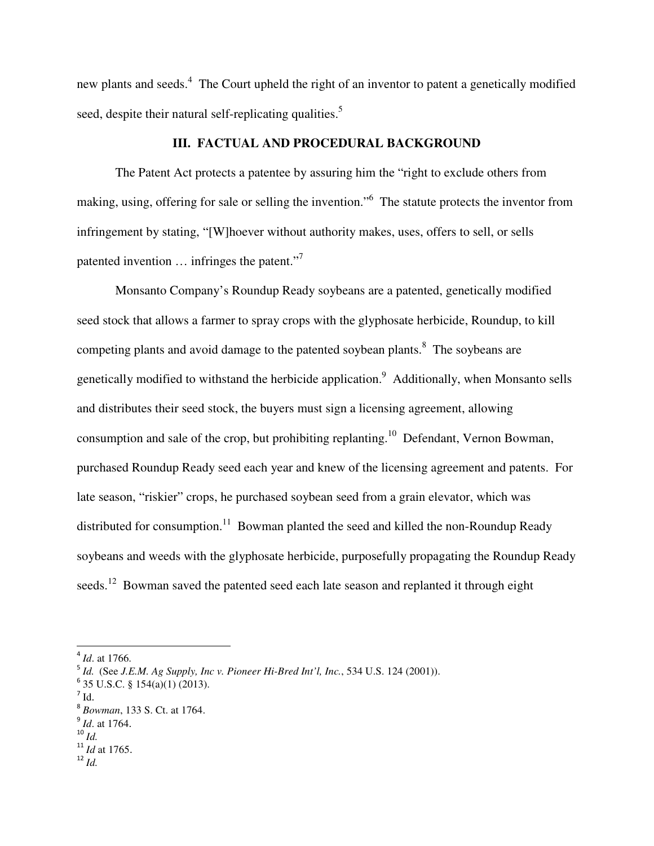new plants and seeds.<sup>4</sup> The Court upheld the right of an inventor to patent a genetically modified seed, despite their natural self-replicating qualities.<sup>5</sup>

### **III. FACTUAL AND PROCEDURAL BACKGROUND**

 The Patent Act protects a patentee by assuring him the "right to exclude others from making, using, offering for sale or selling the invention." The statute protects the inventor from infringement by stating, "[W]hoever without authority makes, uses, offers to sell, or sells patented invention ... infringes the patent."<sup>7</sup>

 Monsanto Company's Roundup Ready soybeans are a patented, genetically modified seed stock that allows a farmer to spray crops with the glyphosate herbicide, Roundup, to kill competing plants and avoid damage to the patented soybean plants.<sup>8</sup> The soybeans are genetically modified to withstand the herbicide application.<sup>9</sup> Additionally, when Monsanto sells and distributes their seed stock, the buyers must sign a licensing agreement, allowing consumption and sale of the crop, but prohibiting replanting.<sup>10</sup> Defendant, Vernon Bowman, purchased Roundup Ready seed each year and knew of the licensing agreement and patents. For late season, "riskier" crops, he purchased soybean seed from a grain elevator, which was distributed for consumption.<sup>11</sup> Bowman planted the seed and killed the non-Roundup Ready soybeans and weeds with the glyphosate herbicide, purposefully propagating the Roundup Ready seeds.<sup>12</sup> Bowman saved the patented seed each late season and replanted it through eight

 $\overline{a}$ 

<sup>4</sup> *Id*. at 1766.

<sup>5</sup> *Id.* (See *J.E.M. Ag Supply, Inc v. Pioneer Hi-Bred Int'l, Inc.*, 534 U.S. 124 (2001)).

 $6$  35 U.S.C. § 154(a)(1) (2013).

 $7$  Id.

<sup>8</sup> *Bowman*, 133 S. Ct. at 1764.

<sup>9</sup> *Id*. at 1764.

<sup>10</sup> *Id.*

<sup>11</sup> *Id* at 1765.

<sup>12</sup> *Id.*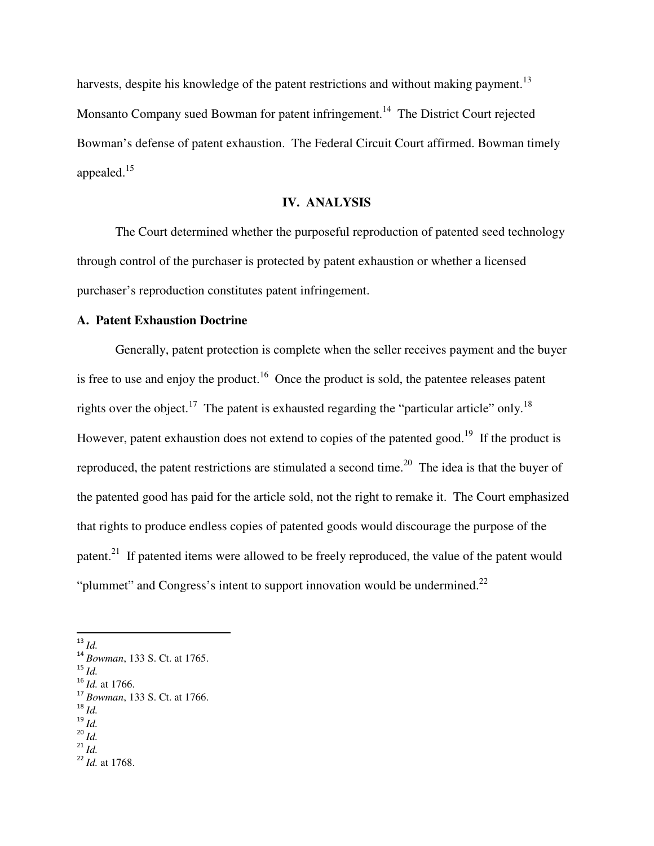harvests, despite his knowledge of the patent restrictions and without making payment.<sup>13</sup> Monsanto Company sued Bowman for patent infringement.<sup>14</sup> The District Court rejected Bowman's defense of patent exhaustion. The Federal Circuit Court affirmed. Bowman timely appealed.<sup>15</sup>

## **IV. ANALYSIS**

 The Court determined whether the purposeful reproduction of patented seed technology through control of the purchaser is protected by patent exhaustion or whether a licensed purchaser's reproduction constitutes patent infringement.

## **A. Patent Exhaustion Doctrine**

Generally, patent protection is complete when the seller receives payment and the buyer is free to use and enjoy the product.<sup>16</sup> Once the product is sold, the patentee releases patent rights over the object.<sup>17</sup> The patent is exhausted regarding the "particular article" only.<sup>18</sup> However, patent exhaustion does not extend to copies of the patented good.<sup>19</sup> If the product is reproduced, the patent restrictions are stimulated a second time.<sup>20</sup> The idea is that the buyer of the patented good has paid for the article sold, not the right to remake it. The Court emphasized that rights to produce endless copies of patented goods would discourage the purpose of the patent.<sup>21</sup> If patented items were allowed to be freely reproduced, the value of the patent would "plummet" and Congress's intent to support innovation would be undermined. $^{22}$ 

l

<sup>15</sup> *Id.*

- <sup>18</sup> *Id.*
- <sup>19</sup> *Id.*

<sup>13</sup> *Id.*

<sup>14</sup> *Bowman*, 133 S. Ct. at 1765.

<sup>16</sup> *Id.* at 1766.

<sup>17</sup> *Bowman*, 133 S. Ct. at 1766.

<sup>20</sup> *Id.*  $^{21}$  *Id.* 

<sup>22</sup> *Id.* at 1768.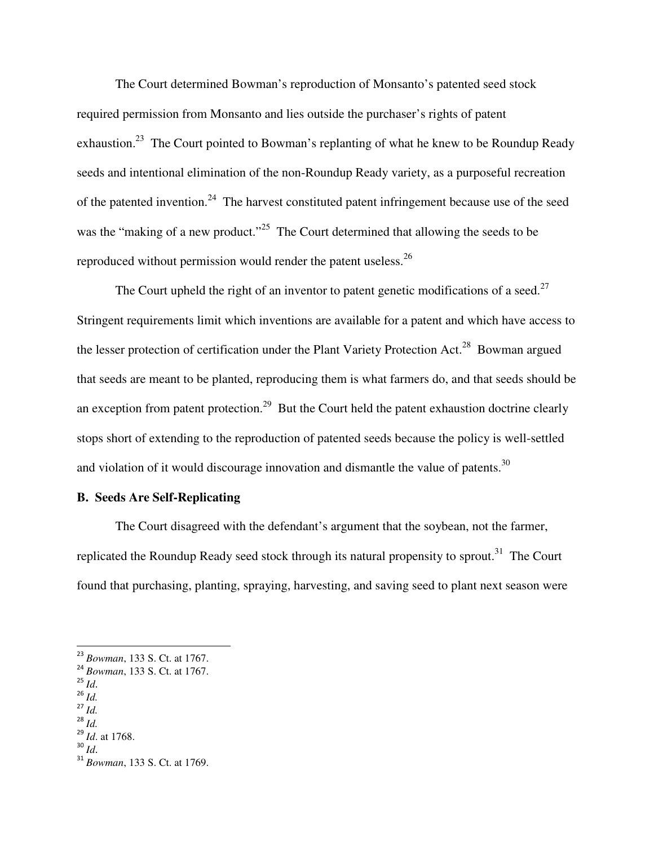The Court determined Bowman's reproduction of Monsanto's patented seed stock required permission from Monsanto and lies outside the purchaser's rights of patent exhaustion.<sup>23</sup> The Court pointed to Bowman's replanting of what he knew to be Roundup Ready seeds and intentional elimination of the non-Roundup Ready variety, as a purposeful recreation of the patented invention.<sup>24</sup> The harvest constituted patent infringement because use of the seed was the "making of a new product."<sup>25</sup> The Court determined that allowing the seeds to be reproduced without permission would render the patent useless.<sup>26</sup>

The Court upheld the right of an inventor to patent genetic modifications of a seed.<sup>27</sup> Stringent requirements limit which inventions are available for a patent and which have access to the lesser protection of certification under the Plant Variety Protection Act.<sup>28</sup> Bowman argued that seeds are meant to be planted, reproducing them is what farmers do, and that seeds should be an exception from patent protection.<sup>29</sup> But the Court held the patent exhaustion doctrine clearly stops short of extending to the reproduction of patented seeds because the policy is well-settled and violation of it would discourage innovation and dismantle the value of patents.<sup>30</sup>

### **B. Seeds Are Self-Replicating**

The Court disagreed with the defendant's argument that the soybean, not the farmer, replicated the Roundup Ready seed stock through its natural propensity to sprout.<sup>31</sup> The Court found that purchasing, planting, spraying, harvesting, and saving seed to plant next season were

<sup>25</sup> *Id*.

 $\overline{a}$ 

- <sup>26</sup> *Id.*
- <sup>27</sup> *Id.*

<sup>23</sup> *Bowman*, 133 S. Ct. at 1767.

<sup>24</sup> *Bowman*, 133 S. Ct. at 1767.

<sup>28</sup> *Id.*

<sup>29</sup> *Id*. at 1768. <sup>30</sup> *Id*.

<sup>31</sup> *Bowman*, 133 S. Ct. at 1769.